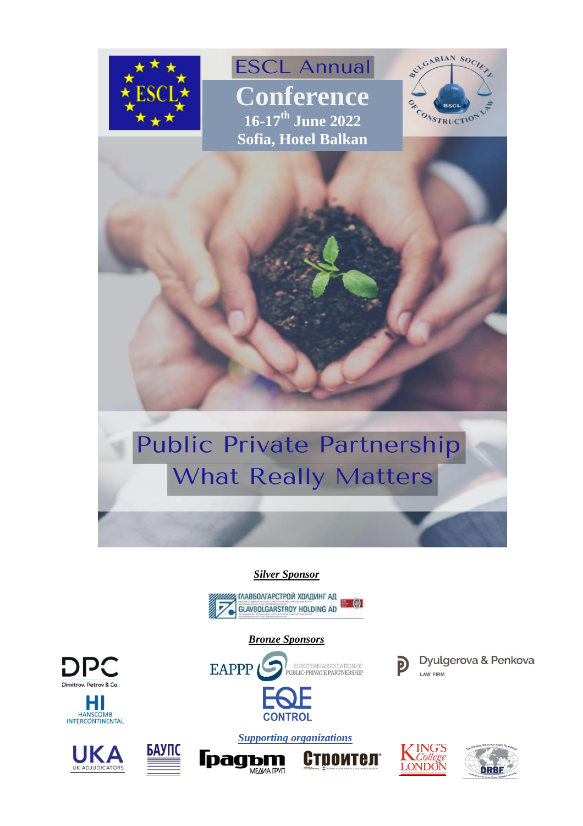

**ESCL Annual Conference 16-17th June 2022 Sofia, Hotel Balkan**



# **Public Private Partnership What Really Matters**

#### *Silver Sponsor*



*Bronze Sponsors*

**CONTROL** 

EUROPEAN ASSOCIATION OF<br>PUBLIC-PRIVATE PARTNERSHIP

# **DPC**









**EAPPP** 





**LAW FIRM** 



Dyulgerova & Penkova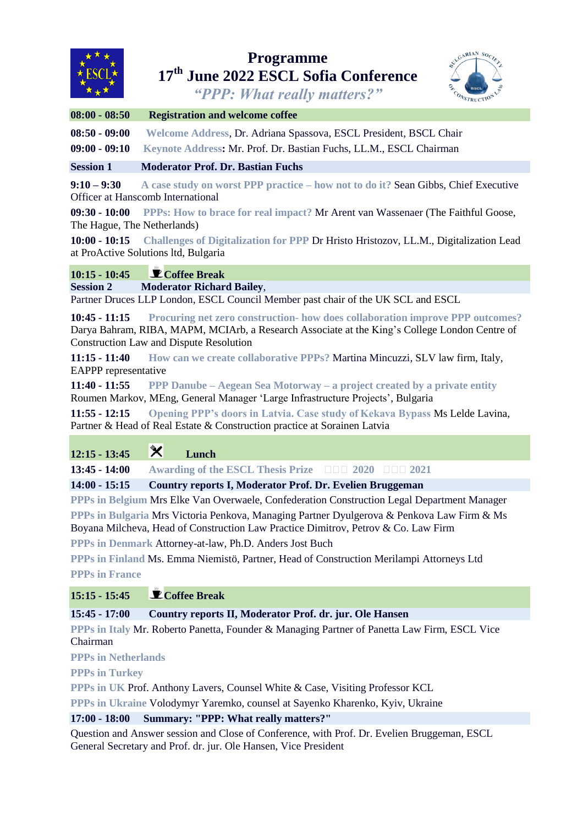

### **Programme 17th June 2022 ESCL Sofia Conference**



*"PPP: What really matters?"*

| $08:00 - 08:50$ | <b>Registration and welcome coffee</b> |
|-----------------|----------------------------------------|
|-----------------|----------------------------------------|

**08:50 - 09:00 Welcome Address**, Dr. Adriana Spassova, ESCL President, BSCL Chair

**09:00 - 09:10 Keynote Address:** Mr. Prof. Dr. Bastian Fuchs, LL.M., ESCL Chairman

**Session 1 Moderator Prof. Dr. Bastian Fuchs**

**9:10 – 9:30 A case study on worst PPP practice – how not to do it?** Sean Gibbs, Chief Executive Officer at Hanscomb International

**09:30 - 10:00 PPPs: How to brace for real impact?** Mr Arent van Wassenaer (The Faithful Goose, The Hague, The Netherlands)

**10:00 - 10:15 Challenges of Digitalization for PPP** Dr Hristo Hristozov, LL.M., Digitalization Lead at ProActive Solutions ltd, Bulgaria

## **10:15 - 10:45 Coffee Break**

**Session 2 Moderator Richard Bailey**,

Partner Druces LLP London, ESCL Council Member past chair of the UK SCL and ESCL

**10:45 - 11:15 Procuring net zero construction- how does collaboration improve PPP outcomes?** Darya Bahram, RIBA, MAPM, MCIArb, a Research Associate at the King's College London Centre of Construction Law and Dispute Resolution

**11:15 - 11:40 How can we create collaborative PPPs?** Martina Mincuzzi, SLV law firm, Italy, EAPPP representative

**11:40 - 11:55 PPP Danube – Aegean Sea Motorway – a project created by a private entity** Roumen Markov, MEng, General Manager 'Large Infrastructure Projects', Bulgaria

**11:55 - 12:15 Opening PPP's doors in Latvia. Case study of Kekava Bypass** Ms Lelde Lavina, Partner & Head of Real Estate & Construction practice at Sorainen Latvia

| $12:15 - 13:45$ | $\bm{\varkappa}$ | Lunch |
|-----------------|------------------|-------|
|-----------------|------------------|-------|

**13:45 - 14:00 Awarding of the ESCL Thesis Prize 2020 2021**

**14:00 - 15:15 Country reports I, Moderator Prof. Dr. Evelien Bruggeman**

**PPPs in Belgium** Mrs Elke Van Overwaele, Confederation Construction Legal Department Manager **PPPs in Bulgaria** Mrs Victoria Penkova, Managing Partner Dyulgerova & Penkova Law Firm & Ms Boyana Milcheva, Head of Construction Law Practice Dimitrov, Petrov & Co. Law Firm

**PPPs in Denmark** Attorney-at-law, Ph.D. Anders Jost Buch

**PPPs in Finland** Ms. Emma Niemistö, Partner, Head of Construction Merilampi Attorneys Ltd **PPPs in France**

**15:15 - 15:45 Coffee Break**

**15:45 - 17:00 Country reports II, Moderator Prof. dr. jur. Ole Hansen**

**PPPs in Italy** Mr. Roberto Panetta, Founder & Managing Partner of Panetta Law Firm, ESCL Vice Chairman

**PPPs in Netherlands**

**PPPs in Turkey** 

**PPPs in UK** Prof. Anthony Lavers, Counsel White & Case, Visiting Professor KCL

**PPPs in Ukraine** Volodymyr Yaremko, counsel at Sayenko Kharenko, Kyiv, Ukraine

#### **17:00 - 18:00 Summary: "PPP: What really matters?"**

Question and Answer session and Close of Conference, with Prof. Dr. Evelien Bruggeman, ESCL General Secretary and Prof. dr. jur. Ole Hansen, Vice President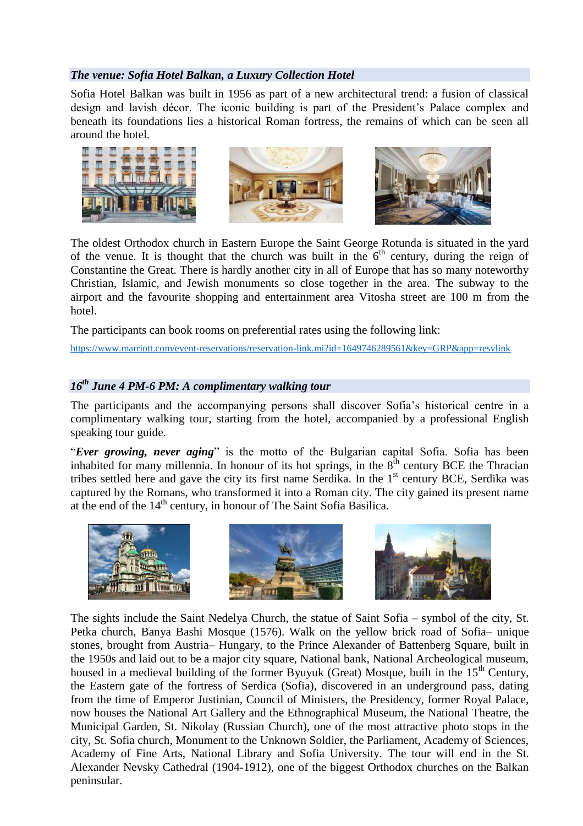#### *The venue: Sofia Hotel Balkan, a Luxury Collection Hotel*

Sofia Hotel Balkan was built in 1956 as part of a new architectural trend: a fusion of classical design and lavish décor. The iconic building is part of the President's Palace complex and beneath its foundations lies a historical Roman fortress, the remains of which can be seen all around the hotel.



The oldest Orthodox church in Eastern Europe the Saint George Rotunda is situated in the yard of the venue. It is thought that the church was built in the  $6<sup>th</sup>$  century, during the reign of Constantine the Great. There is hardly another city in all of Europe that has so many noteworthy Christian, Islamic, and Jewish monuments so close together in the area. The subway to the airport and the favourite shopping and entertainment area Vitosha street are 100 m from the hotel.

The participants can book rooms on preferential rates using the following link:

<https://www.marriott.com/event-reservations/reservation-link.mi?id=1649746289561&key=GRP&app=resvlink>

#### *16th June 4 PM-6 PM: A complimentary walking tour*

The participants and the accompanying persons shall discover Sofia's historical centre in a complimentary walking tour, starting from the hotel, accompanied by a professional English speaking tour guide.

"*Ever growing, never aging*" is the motto of the Bulgarian capital Sofia. Sofia has been inhabited for many millennia. In honour of its hot springs, in the  $8<sup>th</sup>$  century BCE the Thracian tribes settled here and gave the city its first name Serdika. In the 1<sup>st</sup> century BCE, Serdika was captured by the Romans, who transformed it into a Roman city. The city gained its present name at the end of the  $14<sup>th</sup>$  century, in honour of The Saint Sofia Basilica.



The sights include the Saint Nedelya Church, the statue of Saint Sofia – symbol of the city, St. Petka church, Banya Bashi Mosque (1576). Walk on the yellow brick road of Sofia– unique stones, brought from Austria– Hungary, to the Prince Alexander of Battenberg Square, built in the 1950s and laid out to be a major city square, National bank, National Archeological museum, housed in a medieval building of the former Byuyuk (Great) Mosque, built in the  $15<sup>th</sup>$  Century, the Eastern gate of the fortress of Serdica (Sofia), discovered in an underground pass, dating from the time of Emperor Justinian, Council of Ministers, the Presidency, former Royal Palace, now houses the National Art Gallery and the Ethnographical Museum, the National Theatre, the Municipal Garden, St. Nikolay (Russian Church), one of the most attractive photo stops in the city, St. Sofia church, Monument to the Unknown Soldier, the Parliament, Academy of Sciences, Academy of Fine Arts, National Library and Sofia University. The tour will end in the St. Alexander Nevsky Cathedral (1904-1912), one of the biggest Orthodox churches on the Balkan peninsular.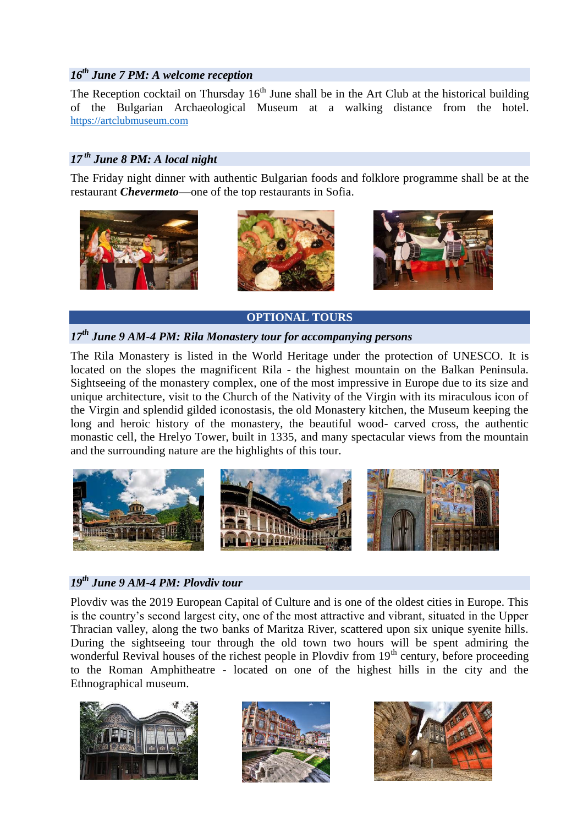#### *16th June 7 PM: A welcome reception*

The Reception cocktail on Thursday  $16<sup>th</sup>$  June shall be in the Art Club at the historical building of the Bulgarian Archaeological Museum at a walking distance from the hotel. [https://artclubmuseum.com](https://artclubmuseum.com/)

#### *17 th June 8 PM: A local night*

The Friday night dinner with authentic Bulgarian foods and folklore programme shall be at the restaurant *Chevermeto*—one of the top restaurants in Sofia.



**OPTIONAL TOURS**

#### *17th June 9 AM-4 PM: Rila Monastery tour for accompanying persons*

The Rila Monastery is listed in the World Heritage under the protection of UNESCO. It is located on the slopes the magnificent Rila - the highest mountain on the Balkan Peninsula. Sightseeing of the monastery complex, one of the most impressive in Europe due to its size and unique architecture, visit to the Church of the Nativity of the Virgin with its miraculous icon of the Virgin and splendid gilded iconostasis, the old Monastery kitchen, the Museum keeping the long and heroic history of the monastery, the beautiful wood- carved cross, the authentic monastic cell, the Hrelyo Tower, built in 1335, and many spectacular views from the mountain and the surrounding nature are the highlights of this tour.



#### *19th June 9 AM-4 PM: Plovdiv tour*

Plovdiv was the 2019 European Capital of Culture and is one of the oldest cities in Europe. This is the country's second largest city, one of the most attractive and vibrant, situated in the Upper Thracian valley, along the two banks of Maritza River, scattered upon six unique syenite hills. During the sightseeing tour through the old town two hours will be spent admiring the wonderful Revival houses of the richest people in Plovdiv from  $19<sup>th</sup>$  century, before proceeding to the Roman Amphitheatre - located on one of the highest hills in the city and the Ethnographical museum.